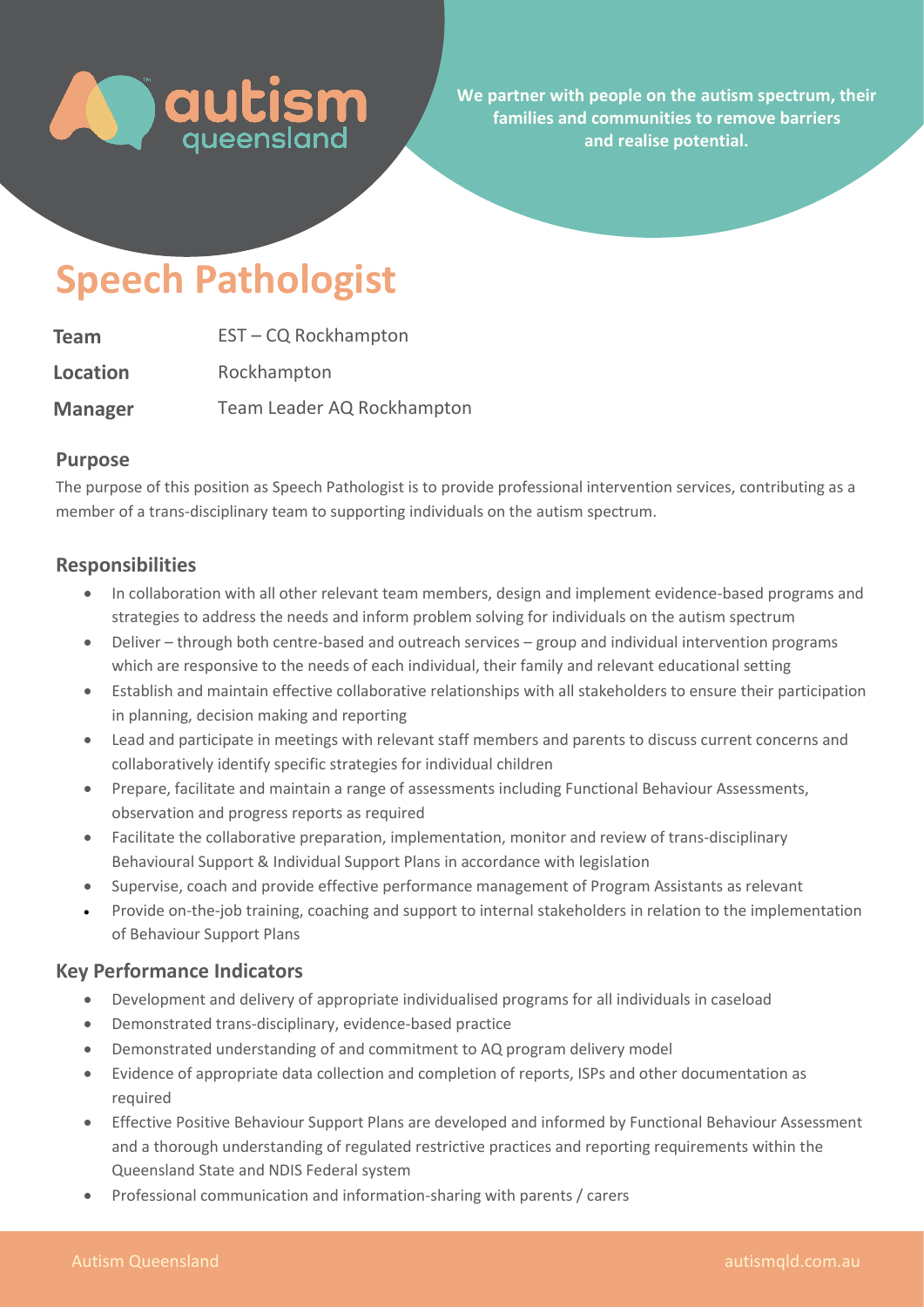

**We partner with people on the autism spectrum, their families and communities to remove barriers and realise potential.** 

# **Speech Pathologist**

| <b>Team</b>     | EST-CQ Rockhampton         |
|-----------------|----------------------------|
| <b>Location</b> | Rockhampton                |
| <b>Manager</b>  | Team Leader AQ Rockhampton |

### **Purpose**

The purpose of this position as Speech Pathologist is to provide professional intervention services, contributing as a member of a trans-disciplinary team to supporting individuals on the autism spectrum.

## **Responsibilities**

- In collaboration with all other relevant team members, design and implement evidence-based programs and strategies to address the needs and inform problem solving for individuals on the autism spectrum
- Deliver through both centre-based and outreach services group and individual intervention programs which are responsive to the needs of each individual, their family and relevant educational setting
- Establish and maintain effective collaborative relationships with all stakeholders to ensure their participation in planning, decision making and reporting
- Lead and participate in meetings with relevant staff members and parents to discuss current concerns and collaboratively identify specific strategies for individual children
- Prepare, facilitate and maintain a range of assessments including Functional Behaviour Assessments, observation and progress reports as required
- Facilitate the collaborative preparation, implementation, monitor and review of trans-disciplinary Behavioural Support & Individual Support Plans in accordance with legislation
- Supervise, coach and provide effective performance management of Program Assistants as relevant
- Provide on-the-job training, coaching and support to internal stakeholders in relation to the implementation of Behaviour Support Plans

## **Key Performance Indicators**

- Development and delivery of appropriate individualised programs for all individuals in caseload
- Demonstrated trans-disciplinary, evidence-based practice
- Demonstrated understanding of and commitment to AQ program delivery model
- Evidence of appropriate data collection and completion of reports, ISPs and other documentation as required
- Effective Positive Behaviour Support Plans are developed and informed by Functional Behaviour Assessment and a thorough understanding of regulated restrictive practices and reporting requirements within the Queensland State and NDIS Federal system
- Professional communication and information-sharing with parents / carers